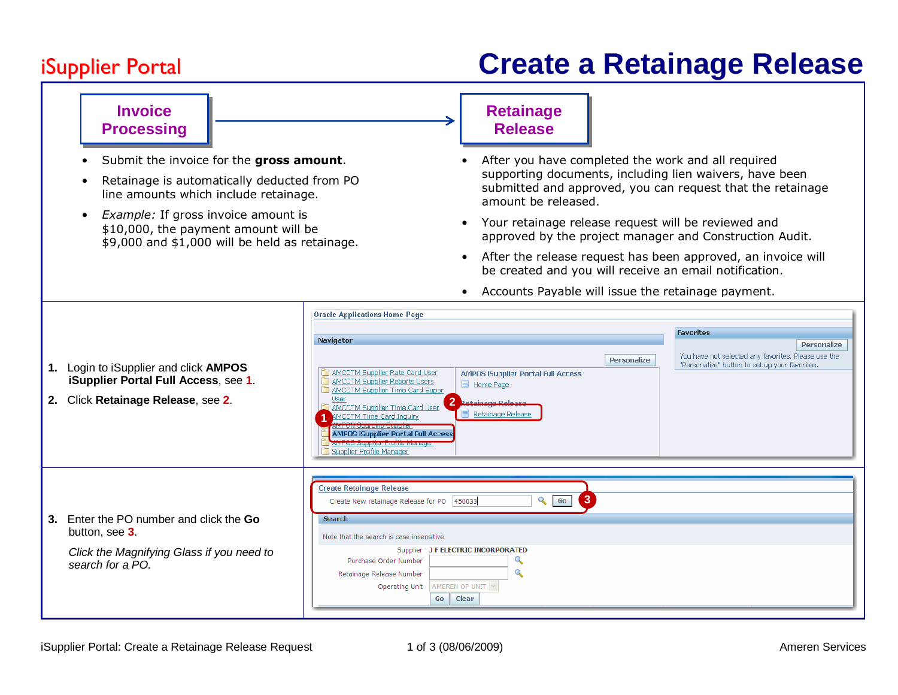## **iSupplier Portal**

•

•

**Invoice Processing** 

Submit the invoice for the gross amount.

line amounts which include retainage.

• *Example:* If gross invoice amount is \$10,000, the payment amount will be

Retainage is automatically deducted from PO

\$9,000 and \$1,000 will be held as retainage.

## **Create a Retainage Release**

## **Retainage Release**

- • After you have completed the work and all required supporting documents, including lien waivers, have been submitted and approved, you can request that the retainage amount be released.
- Your retainage release request will be reviewed andapproved by the project manager and Construction Audit.
- After the release request has been approved, an invoice will be created and you will receive an email notification.

|                                                                                                                            | <b>Oracle Applications Home Page</b>                                                                                                                                                                                                                                                                                                                                                                                                                                                                                                                                                                                                                                                               |                                                                                                                                          |  |  |  |  |  |  |  |  |  |  |
|----------------------------------------------------------------------------------------------------------------------------|----------------------------------------------------------------------------------------------------------------------------------------------------------------------------------------------------------------------------------------------------------------------------------------------------------------------------------------------------------------------------------------------------------------------------------------------------------------------------------------------------------------------------------------------------------------------------------------------------------------------------------------------------------------------------------------------------|------------------------------------------------------------------------------------------------------------------------------------------|--|--|--|--|--|--|--|--|--|--|
| 1. Login to iSupplier and click AMPOS<br>iSupplier Portal Full Access, see 1.<br>2. Click Retainage Release, see 2.        | Navigator<br>Personalize<br>AMCCTM Supplier Rate Card User<br><b>AMPOS iSupplier Portal Full Access</b><br>AMCCTM Supplier Reports Users<br>$\blacksquare$<br>Home Page<br>AMCCTM Supplier Time Card Super<br>User<br>2 Retainang Release<br><b>AMCCTM Supplier Time Card User</b><br>Retainage Release<br><b>AMCCTM Time Card Inquiry</b><br><u> A Barcal de Barcal de la Barcal de la Barcal de la Barcal de la Barcal de la Barcal de la Barcal de la Barcal de la Barcal de la Barcal de la Barcal de la Barcal de la Barcal de la Barcal de la Barcal de la Barcal de la </u><br><b>AMPOS iSupplier Portal Full Access</b><br>with you adaption in uniconditable.<br>Supplier Profile Manager | <b>Favorites</b><br>Personalize<br>You have not selected any favorites. Please use the<br>"Personalize" button to set up your favorites. |  |  |  |  |  |  |  |  |  |  |
| 3. Enter the PO number and click the Go<br>button, see 3.<br>Click the Magnifying Glass if you need to<br>search for a PO. | <b>Create Retainage Release</b><br>$\mathbf{3}$<br>$Q_{\bullet}$ Go<br>Create New retainage Release for PO 450033<br><b>Search</b><br>Note that the search is case insensitive<br>Supplier J F ELECTRIC INCORPORATED<br>$\mathbf{Q}$<br>Purchase Order Number<br>Q<br>Retainage Release Number<br>AMEREN OP UNIT V<br><b>Operating Unit</b><br>Go<br><b>Clear</b>                                                                                                                                                                                                                                                                                                                                  |                                                                                                                                          |  |  |  |  |  |  |  |  |  |  |

• Accounts Payable will issue the retainage payment.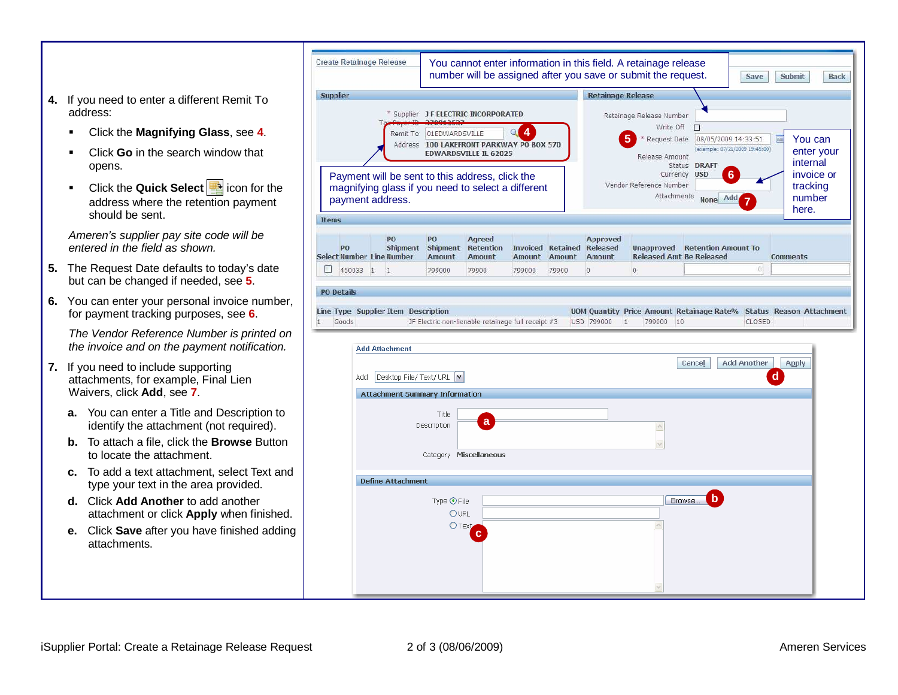